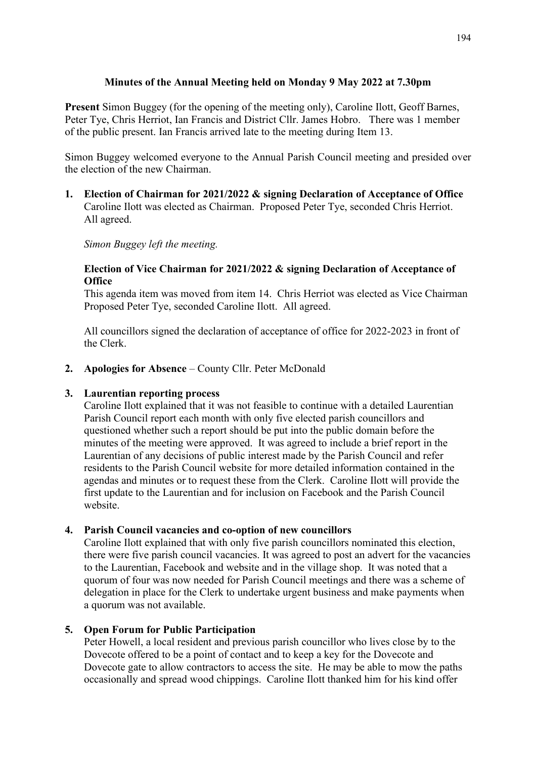# **Minutes of the Annual Meeting held on Monday 9 May 2022 at 7.30pm**

**Present** Simon Buggey (for the opening of the meeting only), Caroline Ilott, Geoff Barnes, Peter Tye, Chris Herriot, Ian Francis and District Cllr. James Hobro. There was 1 member of the public present. Ian Francis arrived late to the meeting during Item 13.

Simon Buggey welcomed everyone to the Annual Parish Council meeting and presided over the election of the new Chairman.

**1. Election of Chairman for 2021/2022 & signing Declaration of Acceptance of Office** Caroline Ilott was elected as Chairman. Proposed Peter Tye, seconded Chris Herriot. All agreed.

*Simon Buggey left the meeting.*

## **Election of Vice Chairman for 2021/2022 & signing Declaration of Acceptance of Office**

This agenda item was moved from item 14. Chris Herriot was elected as Vice Chairman Proposed Peter Tye, seconded Caroline Ilott. All agreed.

All councillors signed the declaration of acceptance of office for 2022-2023 in front of the Clerk.

**2. Apologies for Absence** – County Cllr. Peter McDonald

# **3. Laurentian reporting process**

Caroline Ilott explained that it was not feasible to continue with a detailed Laurentian Parish Council report each month with only five elected parish councillors and questioned whether such a report should be put into the public domain before the minutes of the meeting were approved. It was agreed to include a brief report in the Laurentian of any decisions of public interest made by the Parish Council and refer residents to the Parish Council website for more detailed information contained in the agendas and minutes or to request these from the Clerk. Caroline Ilott will provide the first update to the Laurentian and for inclusion on Facebook and the Parish Council website.

# **4. Parish Council vacancies and co-option of new councillors**

Caroline Ilott explained that with only five parish councillors nominated this election, there were five parish council vacancies. It was agreed to post an advert for the vacancies to the Laurentian, Facebook and website and in the village shop. It was noted that a quorum of four was now needed for Parish Council meetings and there was a scheme of delegation in place for the Clerk to undertake urgent business and make payments when a quorum was not available.

# **5. Open Forum for Public Participation**

Peter Howell, a local resident and previous parish councillor who lives close by to the Dovecote offered to be a point of contact and to keep a key for the Dovecote and Dovecote gate to allow contractors to access the site. He may be able to mow the paths occasionally and spread wood chippings. Caroline Ilott thanked him for his kind offer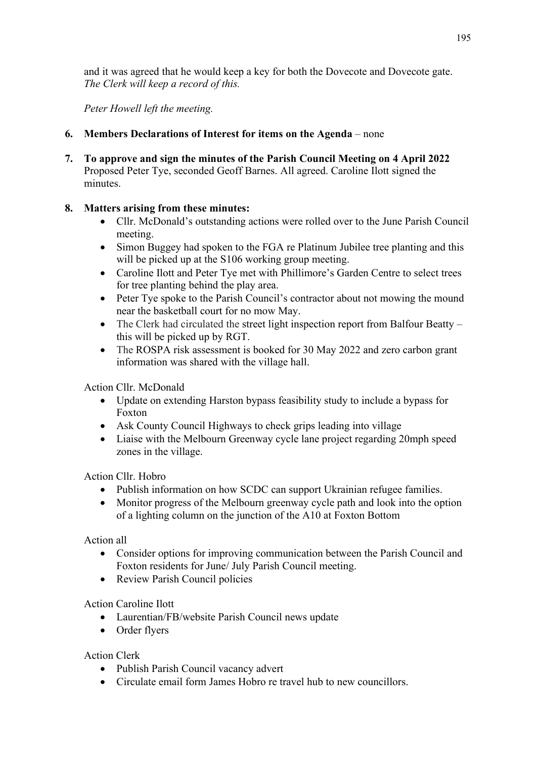and it was agreed that he would keep a key for both the Dovecote and Dovecote gate. *The Clerk will keep a record of this.*

*Peter Howell left the meeting.*

- **6. Members Declarations of Interest for items on the Agenda** none
- **7. To approve and sign the minutes of the Parish Council Meeting on 4 April 2022** Proposed Peter Tye, seconded Geoff Barnes. All agreed. Caroline Ilott signed the minutes.

# **8. Matters arising from these minutes:**

- Cllr. McDonald's outstanding actions were rolled over to the June Parish Council meeting.
- Simon Buggey had spoken to the FGA re Platinum Jubilee tree planting and this will be picked up at the S106 working group meeting.
- Caroline Ilott and Peter Tye met with Phillimore's Garden Centre to select trees for tree planting behind the play area.
- Peter Tye spoke to the Parish Council's contractor about not mowing the mound near the basketball court for no mow May.
- The Clerk had circulated the street light inspection report from Balfour Beatty this will be picked up by RGT.
- The ROSPA risk assessment is booked for 30 May 2022 and zero carbon grant information was shared with the village hall.

Action Cllr. McDonald

- Update on extending Harston bypass feasibility study to include a bypass for Foxton
- Ask County Council Highways to check grips leading into village
- Liaise with the Melbourn Greenway cycle lane project regarding 20mph speed zones in the village.

Action Cllr. Hobro

- Publish information on how SCDC can support Ukrainian refugee families.
- Monitor progress of the Melbourn greenway cycle path and look into the option of a lighting column on the junction of the A10 at Foxton Bottom

Action all

- Consider options for improving communication between the Parish Council and Foxton residents for June/ July Parish Council meeting.
- Review Parish Council policies

Action Caroline Ilott

- Laurentian/FB/website Parish Council news update
- Order flyers

Action Clerk

- Publish Parish Council vacancy advert
- Circulate email form James Hobro re travel hub to new councillors.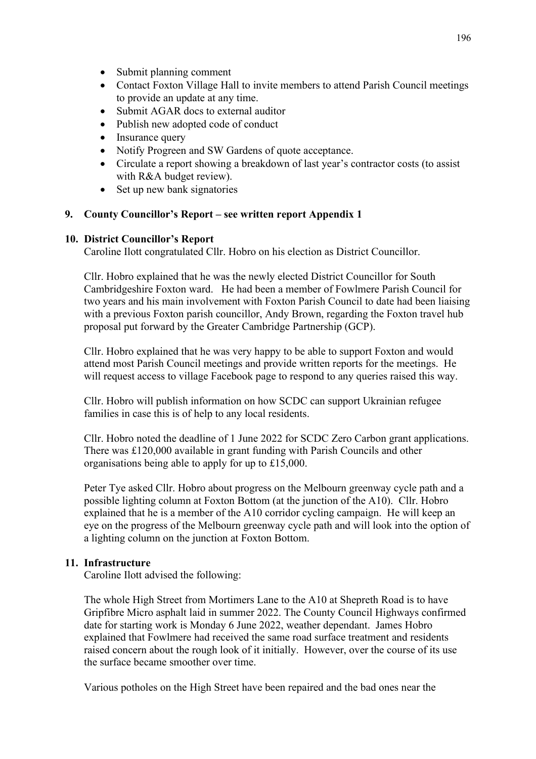- Submit planning comment
- Contact Foxton Village Hall to invite members to attend Parish Council meetings to provide an update at any time.
- Submit AGAR docs to external auditor
- Publish new adopted code of conduct
- Insurance query
- Notify Progreen and SW Gardens of quote acceptance.
- Circulate a report showing a breakdown of last year's contractor costs (to assist with R&A budget review).
- Set up new bank signatories

### **9. County Councillor's Report – see written report Appendix 1**

### **10. District Councillor's Report**

Caroline Ilott congratulated Cllr. Hobro on his election as District Councillor.

Cllr. Hobro explained that he was the newly elected District Councillor for South Cambridgeshire Foxton ward. He had been a member of Fowlmere Parish Council for two years and his main involvement with Foxton Parish Council to date had been liaising with a previous Foxton parish councillor, Andy Brown, regarding the Foxton travel hub proposal put forward by the Greater Cambridge Partnership (GCP).

Cllr. Hobro explained that he was very happy to be able to support Foxton and would attend most Parish Council meetings and provide written reports for the meetings. He will request access to village Facebook page to respond to any queries raised this way.

Cllr. Hobro will publish information on how SCDC can support Ukrainian refugee families in case this is of help to any local residents.

Cllr. Hobro noted the deadline of 1 June 2022 for SCDC Zero Carbon grant applications. There was £120,000 available in grant funding with Parish Councils and other organisations being able to apply for up to £15,000.

Peter Tye asked Cllr. Hobro about progress on the Melbourn greenway cycle path and a possible lighting column at Foxton Bottom (at the junction of the A10). Cllr. Hobro explained that he is a member of the A10 corridor cycling campaign. He will keep an eye on the progress of the Melbourn greenway cycle path and will look into the option of a lighting column on the junction at Foxton Bottom.

### **11. Infrastructure**

Caroline Ilott advised the following:

The whole High Street from Mortimers Lane to the A10 at Shepreth Road is to have Gripfibre Micro asphalt laid in summer 2022. The County Council Highways confirmed date for starting work is Monday 6 June 2022, weather dependant. James Hobro explained that Fowlmere had received the same road surface treatment and residents raised concern about the rough look of it initially. However, over the course of its use the surface became smoother over time.

Various potholes on the High Street have been repaired and the bad ones near the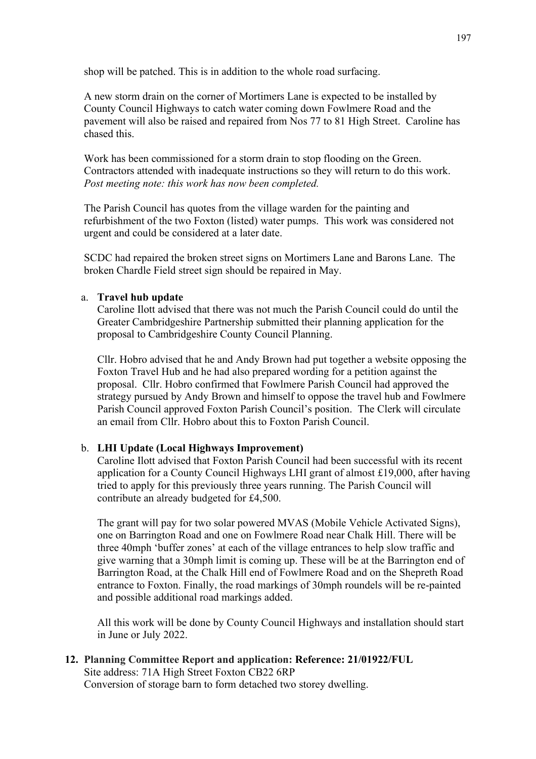shop will be patched. This is in addition to the whole road surfacing.

A new storm drain on the corner of Mortimers Lane is expected to be installed by County Council Highways to catch water coming down Fowlmere Road and the pavement will also be raised and repaired from Nos 77 to 81 High Street. Caroline has chased this.

Work has been commissioned for a storm drain to stop flooding on the Green. Contractors attended with inadequate instructions so they will return to do this work. *Post meeting note: this work has now been completed.*

The Parish Council has quotes from the village warden for the painting and refurbishment of the two Foxton (listed) water pumps. This work was considered not urgent and could be considered at a later date.

SCDC had repaired the broken street signs on Mortimers Lane and Barons Lane. The broken Chardle Field street sign should be repaired in May.

### a. **Travel hub update**

Caroline Ilott advised that there was not much the Parish Council could do until the Greater Cambridgeshire Partnership submitted their planning application for the proposal to Cambridgeshire County Council Planning.

Cllr. Hobro advised that he and Andy Brown had put together a website opposing the Foxton Travel Hub and he had also prepared wording for a petition against the proposal. Cllr. Hobro confirmed that Fowlmere Parish Council had approved the strategy pursued by Andy Brown and himself to oppose the travel hub and Fowlmere Parish Council approved Foxton Parish Council's position. The Clerk will circulate an email from Cllr. Hobro about this to Foxton Parish Council.

### b. **LHI Update (Local Highways Improvement)**

Caroline Ilott advised that Foxton Parish Council had been successful with its recent application for a County Council Highways LHI grant of almost £19,000, after having tried to apply for this previously three years running. The Parish Council will contribute an already budgeted for £4,500.

The grant will pay for two solar powered MVAS (Mobile Vehicle Activated Signs), one on Barrington Road and one on Fowlmere Road near Chalk Hill. There will be three 40mph 'buffer zones' at each of the village entrances to help slow traffic and give warning that a 30mph limit is coming up. These will be at the Barrington end of Barrington Road, at the Chalk Hill end of Fowlmere Road and on the Shepreth Road entrance to Foxton. Finally, the road markings of 30mph roundels will be re-painted and possible additional road markings added.

All this work will be done by County Council Highways and installation should start in June or July 2022.

# **12. Planning Committee Report and application: Reference: 21/01922/FUL**

Site address: 71A High Street Foxton CB22 6RP Conversion of storage barn to form detached two storey dwelling.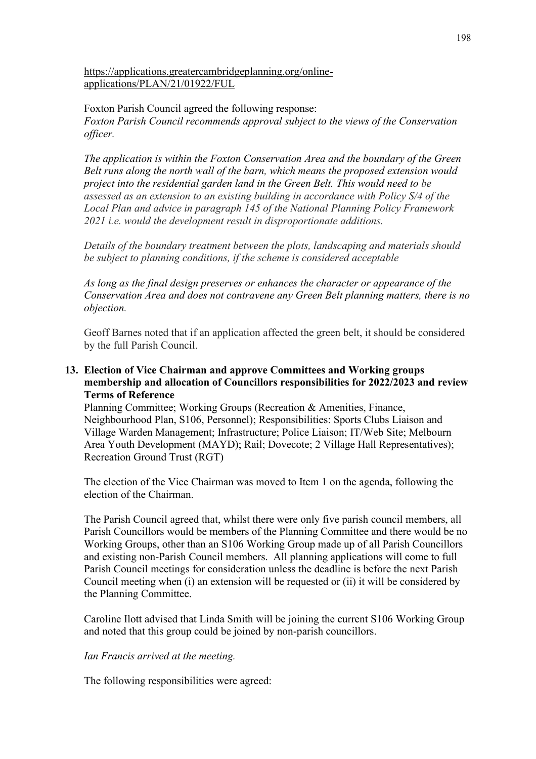### [https://applications.greatercambridgeplanning.org/online](https://applications.greatercambridgeplanning.org/online-applications/PLAN/21/01922/FUL)[applications/PLAN/21/01922/FUL](https://applications.greatercambridgeplanning.org/online-applications/PLAN/21/01922/FUL)

Foxton Parish Council agreed the following response: *Foxton Parish Council recommends approval subject to the views of the Conservation officer.*

*The application is within the Foxton Conservation Area and the boundary of the Green Belt runs along the north wall of the barn, which means the proposed extension would project into the residential garden land in the Green Belt. This would need to be assessed as an extension to an existing building in accordance with Policy S/4 of the Local Plan and advice in paragraph 145 of the National Planning Policy Framework 2021 i.e. would the development result in disproportionate additions.* 

*Details of the boundary treatment between the plots, landscaping and materials should be subject to planning conditions, if the scheme is considered acceptable*

*As long as the final design preserves or enhances the character or appearance of the Conservation Area and does not contravene any Green Belt planning matters, there is no objection.*

Geoff Barnes noted that if an application affected the green belt, it should be considered by the full Parish Council.

### **13. Election of Vice Chairman and approve Committees and Working groups membership and allocation of Councillors responsibilities for 2022/2023 and review Terms of Reference**

Planning Committee; Working Groups (Recreation & Amenities, Finance, Neighbourhood Plan, S106, Personnel); Responsibilities: Sports Clubs Liaison and Village Warden Management; Infrastructure; Police Liaison; IT/Web Site; Melbourn Area Youth Development (MAYD); Rail; Dovecote; 2 Village Hall Representatives); Recreation Ground Trust (RGT)

The election of the Vice Chairman was moved to Item 1 on the agenda, following the election of the Chairman.

The Parish Council agreed that, whilst there were only five parish council members, all Parish Councillors would be members of the Planning Committee and there would be no Working Groups, other than an S106 Working Group made up of all Parish Councillors and existing non-Parish Council members. All planning applications will come to full Parish Council meetings for consideration unless the deadline is before the next Parish Council meeting when (i) an extension will be requested or (ii) it will be considered by the Planning Committee.

Caroline Ilott advised that Linda Smith will be joining the current S106 Working Group and noted that this group could be joined by non-parish councillors.

### *Ian Francis arrived at the meeting.*

The following responsibilities were agreed: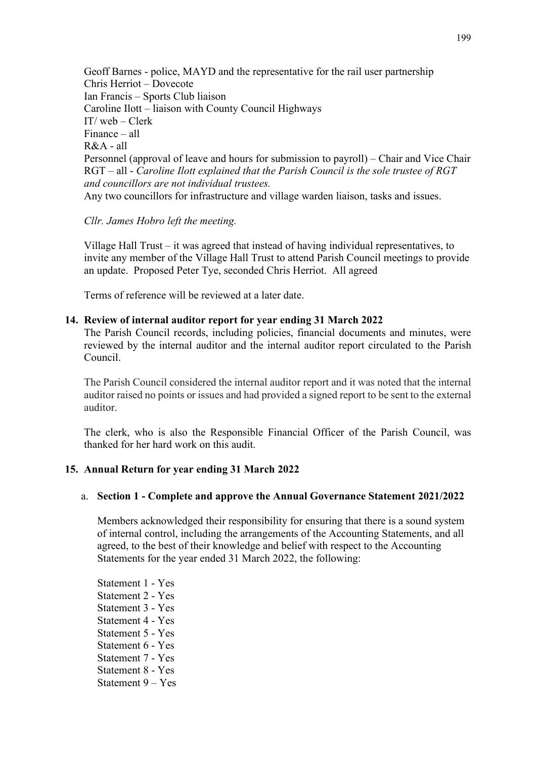Geoff Barnes - police, MAYD and the representative for the rail user partnership Chris Herriot – Dovecote Ian Francis – Sports Club liaison Caroline Ilott – liaison with County Council Highways IT/ web – Clerk Finance – all R&A - all Personnel (approval of leave and hours for submission to payroll) – Chair and Vice Chair RGT – all - *Caroline Ilott explained that the Parish Council is the sole trustee of RGT and councillors are not individual trustees.* Any two councillors for infrastructure and village warden liaison, tasks and issues.

#### *Cllr. James Hobro left the meeting.*

Village Hall Trust – it was agreed that instead of having individual representatives, to invite any member of the Village Hall Trust to attend Parish Council meetings to provide an update. Proposed Peter Tye, seconded Chris Herriot. All agreed

Terms of reference will be reviewed at a later date.

## **14. Review of internal auditor report for year ending 31 March 2022**

The Parish Council records, including policies, financial documents and minutes, were reviewed by the internal auditor and the internal auditor report circulated to the Parish Council.

The Parish Council considered the internal auditor report and it was noted that the internal auditor raised no points or issues and had provided a signed report to be sent to the external auditor.

The clerk, who is also the Responsible Financial Officer of the Parish Council, was thanked for her hard work on this audit.

# **15. Annual Return for year ending 31 March 2022**

### a. **Section 1 - Complete and approve the Annual Governance Statement 2021/2022**

Members acknowledged their responsibility for ensuring that there is a sound system of internal control, including the arrangements of the Accounting Statements, and all agreed, to the best of their knowledge and belief with respect to the Accounting Statements for the year ended 31 March 2022, the following:

Statement 1 - Yes Statement 2 - Yes Statement 3 - Yes Statement 4 - Yes Statement 5 - Yes Statement 6 - Yes Statement 7 - Yes Statement 8 - Yes Statement 9 – Yes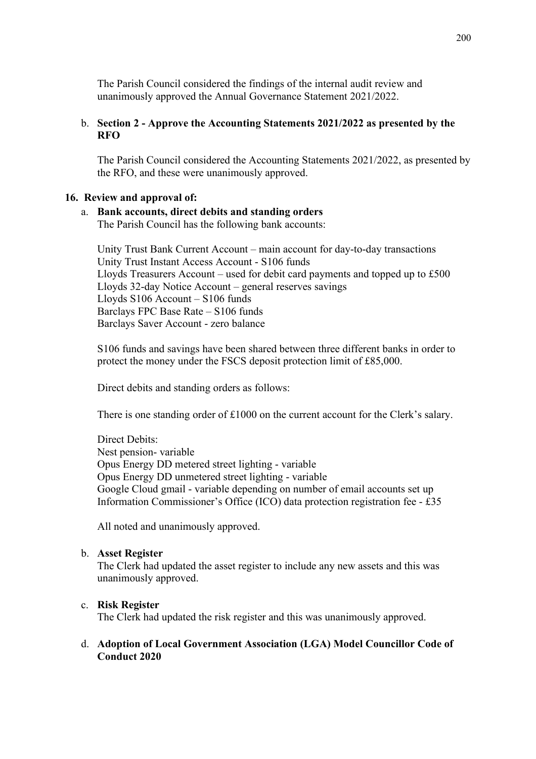The Parish Council considered the findings of the internal audit review and unanimously approved the Annual Governance Statement 2021/2022.

### b. **Section 2 - Approve the Accounting Statements 2021/2022 as presented by the RFO**

The Parish Council considered the Accounting Statements 2021/2022, as presented by the RFO, and these were unanimously approved.

#### **16. Review and approval of:**

#### a. **Bank accounts, direct debits and standing orders**

The Parish Council has the following bank accounts:

Unity Trust Bank Current Account – main account for day-to-day transactions Unity Trust Instant Access Account - S106 funds Lloyds Treasurers Account – used for debit card payments and topped up to £500 Lloyds 32-day Notice Account – general reserves savings Lloyds S106 Account – S106 funds Barclays FPC Base Rate – S106 funds Barclays Saver Account - zero balance

S106 funds and savings have been shared between three different banks in order to protect the money under the FSCS deposit protection limit of £85,000.

Direct debits and standing orders as follows:

There is one standing order of £1000 on the current account for the Clerk's salary.

Direct Debits: Nest pension- variable Opus Energy DD metered street lighting - variable Opus Energy DD unmetered street lighting - variable Google Cloud gmail - variable depending on number of email accounts set up Information Commissioner's Office (ICO) data protection registration fee - £35

All noted and unanimously approved.

#### b. **Asset Register**

The Clerk had updated the asset register to include any new assets and this was unanimously approved.

### c. **Risk Register**

The Clerk had updated the risk register and this was unanimously approved.

#### d. **Adoption of Local Government Association (LGA) Model Councillor Code of Conduct 2020**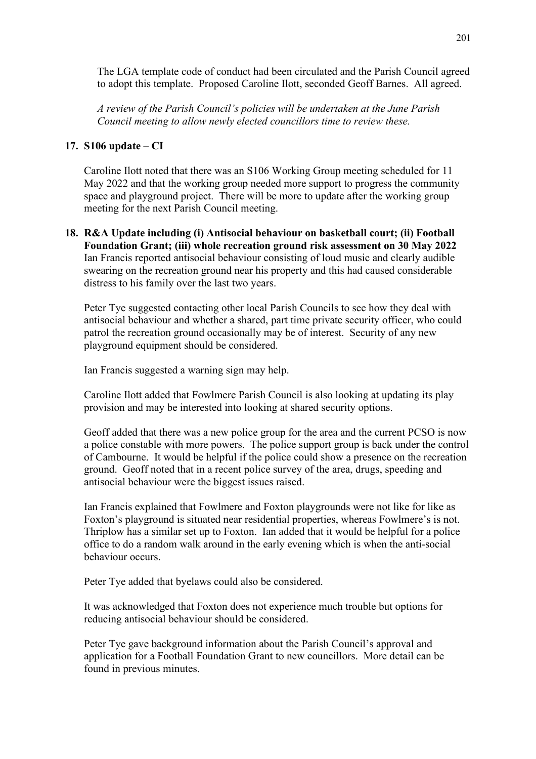The LGA template code of conduct had been circulated and the Parish Council agreed to adopt this template. Proposed Caroline Ilott, seconded Geoff Barnes. All agreed.

*A review of the Parish Council's policies will be undertaken at the June Parish Council meeting to allow newly elected councillors time to review these.*

### **17. S106 update – CI**

Caroline Ilott noted that there was an S106 Working Group meeting scheduled for 11 May 2022 and that the working group needed more support to progress the community space and playground project. There will be more to update after the working group meeting for the next Parish Council meeting.

**18. R&A Update including (i) Antisocial behaviour on basketball court; (ii) Football Foundation Grant; (iii) whole recreation ground risk assessment on 30 May 2022** Ian Francis reported antisocial behaviour consisting of loud music and clearly audible swearing on the recreation ground near his property and this had caused considerable distress to his family over the last two years.

Peter Tye suggested contacting other local Parish Councils to see how they deal with antisocial behaviour and whether a shared, part time private security officer, who could patrol the recreation ground occasionally may be of interest. Security of any new playground equipment should be considered.

Ian Francis suggested a warning sign may help.

Caroline Ilott added that Fowlmere Parish Council is also looking at updating its play provision and may be interested into looking at shared security options.

Geoff added that there was a new police group for the area and the current PCSO is now a police constable with more powers. The police support group is back under the control of Cambourne. It would be helpful if the police could show a presence on the recreation ground. Geoff noted that in a recent police survey of the area, drugs, speeding and antisocial behaviour were the biggest issues raised.

Ian Francis explained that Fowlmere and Foxton playgrounds were not like for like as Foxton's playground is situated near residential properties, whereas Fowlmere's is not. Thriplow has a similar set up to Foxton. Ian added that it would be helpful for a police office to do a random walk around in the early evening which is when the anti-social behaviour occurs.

Peter Tye added that byelaws could also be considered.

It was acknowledged that Foxton does not experience much trouble but options for reducing antisocial behaviour should be considered.

Peter Tye gave background information about the Parish Council's approval and application for a Football Foundation Grant to new councillors. More detail can be found in previous minutes.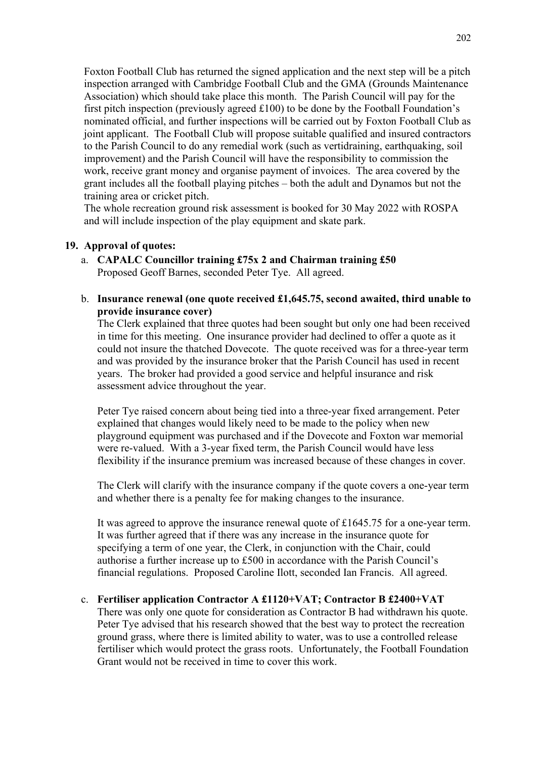Foxton Football Club has returned the signed application and the next step will be a pitch inspection arranged with Cambridge Football Club and the GMA (Grounds Maintenance Association) which should take place this month. The Parish Council will pay for the first pitch inspection (previously agreed  $£100$ ) to be done by the Football Foundation's nominated official, and further inspections will be carried out by Foxton Football Club as joint applicant. The Football Club will propose suitable qualified and insured contractors to the Parish Council to do any remedial work (such as vertidraining, earthquaking, soil improvement) and the Parish Council will have the responsibility to commission the work, receive grant money and organise payment of invoices. The area covered by the grant includes all the football playing pitches – both the adult and Dynamos but not the training area or cricket pitch.

The whole recreation ground risk assessment is booked for 30 May 2022 with ROSPA and will include inspection of the play equipment and skate park.

#### **19. Approval of quotes:**

- a. **CAPALC Councillor training £75x 2 and Chairman training £50** Proposed Geoff Barnes, seconded Peter Tye. All agreed.
- b. **Insurance renewal (one quote received £1,645.75, second awaited, third unable to provide insurance cover)**

The Clerk explained that three quotes had been sought but only one had been received in time for this meeting. One insurance provider had declined to offer a quote as it could not insure the thatched Dovecote. The quote received was for a three-year term and was provided by the insurance broker that the Parish Council has used in recent years. The broker had provided a good service and helpful insurance and risk assessment advice throughout the year.

Peter Tye raised concern about being tied into a three-year fixed arrangement. Peter explained that changes would likely need to be made to the policy when new playground equipment was purchased and if the Dovecote and Foxton war memorial were re-valued. With a 3-year fixed term, the Parish Council would have less flexibility if the insurance premium was increased because of these changes in cover.

The Clerk will clarify with the insurance company if the quote covers a one-year term and whether there is a penalty fee for making changes to the insurance.

It was agreed to approve the insurance renewal quote of £1645.75 for a one-year term. It was further agreed that if there was any increase in the insurance quote for specifying a term of one year, the Clerk, in conjunction with the Chair, could authorise a further increase up to £500 in accordance with the Parish Council's financial regulations. Proposed Caroline Ilott, seconded Ian Francis. All agreed.

c. **Fertiliser application Contractor A £1120+VAT; Contractor B £2400+VAT**

There was only one quote for consideration as Contractor B had withdrawn his quote. Peter Tye advised that his research showed that the best way to protect the recreation ground grass, where there is limited ability to water, was to use a controlled release fertiliser which would protect the grass roots. Unfortunately, the Football Foundation Grant would not be received in time to cover this work.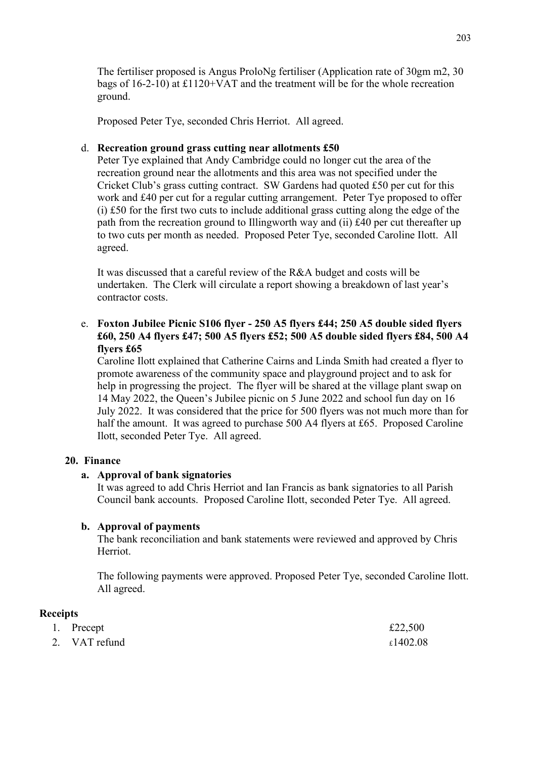The fertiliser proposed is Angus ProloNg fertiliser (Application rate of 30gm m2, 30 bags of 16-2-10) at £1120+VAT and the treatment will be for the whole recreation ground.

Proposed Peter Tye, seconded Chris Herriot. All agreed.

### d. **Recreation ground grass cutting near allotments £50**

Peter Tye explained that Andy Cambridge could no longer cut the area of the recreation ground near the allotments and this area was not specified under the Cricket Club's grass cutting contract. SW Gardens had quoted £50 per cut for this work and £40 per cut for a regular cutting arrangement. Peter Tye proposed to offer (i) £50 for the first two cuts to include additional grass cutting along the edge of the path from the recreation ground to Illingworth way and (ii) £40 per cut thereafter up to two cuts per month as needed. Proposed Peter Tye, seconded Caroline Ilott. All agreed.

It was discussed that a careful review of the R&A budget and costs will be undertaken. The Clerk will circulate a report showing a breakdown of last year's contractor costs.

# e. **Foxton Jubilee Picnic S106 flyer - 250 A5 flyers £44; 250 A5 double sided flyers £60, 250 A4 flyers £47; 500 A5 flyers £52; 500 A5 double sided flyers £84, 500 A4 flyers £65**

Caroline Ilott explained that Catherine Cairns and Linda Smith had created a flyer to promote awareness of the community space and playground project and to ask for help in progressing the project. The flyer will be shared at the village plant swap on 14 May 2022, the Queen's Jubilee picnic on 5 June 2022 and school fun day on 16 July 2022. It was considered that the price for 500 flyers was not much more than for half the amount. It was agreed to purchase 500 A4 flyers at £65. Proposed Caroline Ilott, seconded Peter Tye. All agreed.

#### **20. Finance**

#### **a. Approval of bank signatories**

It was agreed to add Chris Herriot and Ian Francis as bank signatories to all Parish Council bank accounts. Proposed Caroline Ilott, seconded Peter Tye. All agreed.

#### **b. Approval of payments**

The bank reconciliation and bank statements were reviewed and approved by Chris Herriot.

The following payments were approved. Proposed Peter Tye, seconded Caroline Ilott. All agreed.

### **Receipts**

| 1. Precept    | £22,500  |
|---------------|----------|
| 2. VAT refund | £1402.08 |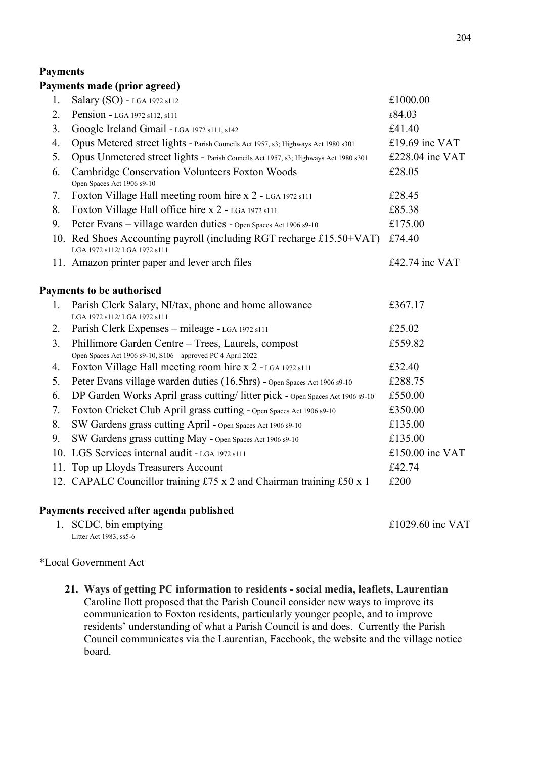# **Payments**

# **Payments made (prior agreed)**

| Pension - LGA 1972 s112, s111<br>Google Ireland Gmail - LGA 1972 s111, s142<br>Opus Metered street lights - Parish Councils Act 1957, s3; Highways Act 1980 s301<br>Opus Unmetered street lights - Parish Councils Act 1957, s3; Highways Act 1980 s301<br>Cambridge Conservation Volunteers Foxton Woods<br>Open Spaces Act 1906 s9-10<br>Foxton Village Hall meeting room hire x 2 - LGA 1972 s111<br>Foxton Village Hall office hire x 2 - LGA 1972 s111<br>Peter Evans - village warden duties - Open Spaces Act 1906 s9-10<br>10. Red Shoes Accounting payroll (including RGT recharge £15.50+VAT)<br>LGA 1972 s112/LGA 1972 s111<br>11. Amazon printer paper and lever arch files<br><b>Payments to be authorised</b><br>Parish Clerk Salary, NI/tax, phone and home allowance | £84.03<br>£41.40<br>£19.69 inc VAT<br>£228.04 inc VAT<br>£28.05<br>£28.45<br>£85.38<br>£175.00<br>£74.40<br>£42.74 inc VAT<br>£367.17                                                                                                                                                                                                                               |
|--------------------------------------------------------------------------------------------------------------------------------------------------------------------------------------------------------------------------------------------------------------------------------------------------------------------------------------------------------------------------------------------------------------------------------------------------------------------------------------------------------------------------------------------------------------------------------------------------------------------------------------------------------------------------------------------------------------------------------------------------------------------------------------|---------------------------------------------------------------------------------------------------------------------------------------------------------------------------------------------------------------------------------------------------------------------------------------------------------------------------------------------------------------------|
|                                                                                                                                                                                                                                                                                                                                                                                                                                                                                                                                                                                                                                                                                                                                                                                      |                                                                                                                                                                                                                                                                                                                                                                     |
|                                                                                                                                                                                                                                                                                                                                                                                                                                                                                                                                                                                                                                                                                                                                                                                      |                                                                                                                                                                                                                                                                                                                                                                     |
|                                                                                                                                                                                                                                                                                                                                                                                                                                                                                                                                                                                                                                                                                                                                                                                      |                                                                                                                                                                                                                                                                                                                                                                     |
|                                                                                                                                                                                                                                                                                                                                                                                                                                                                                                                                                                                                                                                                                                                                                                                      |                                                                                                                                                                                                                                                                                                                                                                     |
|                                                                                                                                                                                                                                                                                                                                                                                                                                                                                                                                                                                                                                                                                                                                                                                      |                                                                                                                                                                                                                                                                                                                                                                     |
|                                                                                                                                                                                                                                                                                                                                                                                                                                                                                                                                                                                                                                                                                                                                                                                      |                                                                                                                                                                                                                                                                                                                                                                     |
|                                                                                                                                                                                                                                                                                                                                                                                                                                                                                                                                                                                                                                                                                                                                                                                      |                                                                                                                                                                                                                                                                                                                                                                     |
|                                                                                                                                                                                                                                                                                                                                                                                                                                                                                                                                                                                                                                                                                                                                                                                      |                                                                                                                                                                                                                                                                                                                                                                     |
|                                                                                                                                                                                                                                                                                                                                                                                                                                                                                                                                                                                                                                                                                                                                                                                      |                                                                                                                                                                                                                                                                                                                                                                     |
|                                                                                                                                                                                                                                                                                                                                                                                                                                                                                                                                                                                                                                                                                                                                                                                      |                                                                                                                                                                                                                                                                                                                                                                     |
|                                                                                                                                                                                                                                                                                                                                                                                                                                                                                                                                                                                                                                                                                                                                                                                      |                                                                                                                                                                                                                                                                                                                                                                     |
| LGA 1972 s112/LGA 1972 s111                                                                                                                                                                                                                                                                                                                                                                                                                                                                                                                                                                                                                                                                                                                                                          |                                                                                                                                                                                                                                                                                                                                                                     |
| Parish Clerk Expenses - mileage - LGA 1972 s111                                                                                                                                                                                                                                                                                                                                                                                                                                                                                                                                                                                                                                                                                                                                      | £25.02                                                                                                                                                                                                                                                                                                                                                              |
| Phillimore Garden Centre - Trees, Laurels, compost<br>Open Spaces Act 1906 s9-10, S106 - approved PC 4 April 2022                                                                                                                                                                                                                                                                                                                                                                                                                                                                                                                                                                                                                                                                    | £559.82                                                                                                                                                                                                                                                                                                                                                             |
| Foxton Village Hall meeting room hire x 2 - LGA 1972 s111                                                                                                                                                                                                                                                                                                                                                                                                                                                                                                                                                                                                                                                                                                                            | £32.40                                                                                                                                                                                                                                                                                                                                                              |
| Peter Evans village warden duties (16.5hrs) - Open Spaces Act 1906 s9-10                                                                                                                                                                                                                                                                                                                                                                                                                                                                                                                                                                                                                                                                                                             | £288.75                                                                                                                                                                                                                                                                                                                                                             |
| DP Garden Works April grass cutting/litter pick - Open Spaces Act 1906 s9-10                                                                                                                                                                                                                                                                                                                                                                                                                                                                                                                                                                                                                                                                                                         | £550.00                                                                                                                                                                                                                                                                                                                                                             |
|                                                                                                                                                                                                                                                                                                                                                                                                                                                                                                                                                                                                                                                                                                                                                                                      | £350.00                                                                                                                                                                                                                                                                                                                                                             |
|                                                                                                                                                                                                                                                                                                                                                                                                                                                                                                                                                                                                                                                                                                                                                                                      | £135.00                                                                                                                                                                                                                                                                                                                                                             |
|                                                                                                                                                                                                                                                                                                                                                                                                                                                                                                                                                                                                                                                                                                                                                                                      | £135.00                                                                                                                                                                                                                                                                                                                                                             |
|                                                                                                                                                                                                                                                                                                                                                                                                                                                                                                                                                                                                                                                                                                                                                                                      | £150.00 inc VAT                                                                                                                                                                                                                                                                                                                                                     |
|                                                                                                                                                                                                                                                                                                                                                                                                                                                                                                                                                                                                                                                                                                                                                                                      | £42.74                                                                                                                                                                                                                                                                                                                                                              |
|                                                                                                                                                                                                                                                                                                                                                                                                                                                                                                                                                                                                                                                                                                                                                                                      | £200                                                                                                                                                                                                                                                                                                                                                                |
|                                                                                                                                                                                                                                                                                                                                                                                                                                                                                                                                                                                                                                                                                                                                                                                      | Foxton Cricket Club April grass cutting - Open Spaces Act 1906 s9-10<br>SW Gardens grass cutting April - Open Spaces Act 1906 s9-10<br>SW Gardens grass cutting May - Open Spaces Act 1906 s9-10<br>10. LGS Services internal audit - LGA 1972 s111<br>11. Top up Lloyds Treasurers Account<br>12. CAPALC Councillor training £75 x 2 and Chairman training £50 x 1 |

1. SCDC, bin emptying  $£1029.60$  inc VAT Litter Act 1983, ss5-6

### \*Local Government Act

**21. Ways of getting PC information to residents - social media, leaflets, Laurentian** Caroline Ilott proposed that the Parish Council consider new ways to improve its communication to Foxton residents, particularly younger people, and to improve residents' understanding of what a Parish Council is and does. Currently the Parish Council communicates via the Laurentian, Facebook, the website and the village notice board.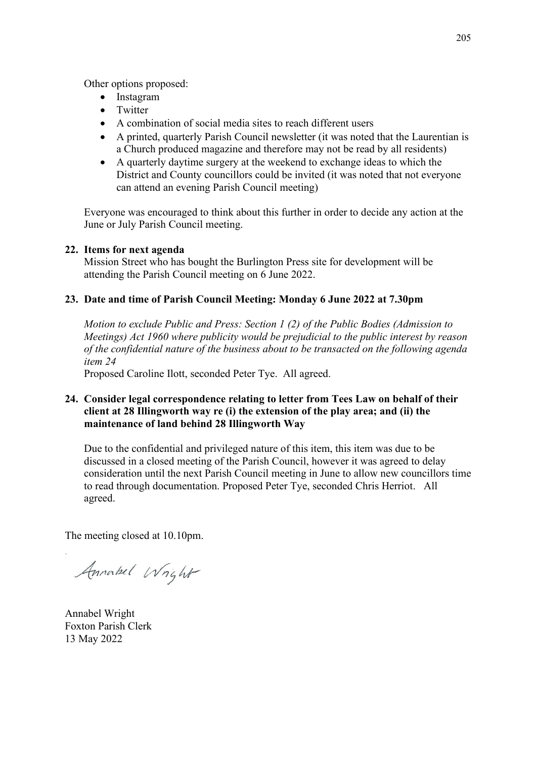Other options proposed:

- Instagram
- Twitter
- A combination of social media sites to reach different users
- A printed, quarterly Parish Council newsletter (it was noted that the Laurentian is a Church produced magazine and therefore may not be read by all residents)
- A quarterly daytime surgery at the weekend to exchange ideas to which the District and County councillors could be invited (it was noted that not everyone can attend an evening Parish Council meeting)

Everyone was encouraged to think about this further in order to decide any action at the June or July Parish Council meeting.

### **22. Items for next agenda**

Mission Street who has bought the Burlington Press site for development will be attending the Parish Council meeting on 6 June 2022.

## **23. Date and time of Parish Council Meeting: Monday 6 June 2022 at 7.30pm**

*Motion to exclude Public and Press: Section 1 (2) of the Public Bodies (Admission to Meetings) Act 1960 where publicity would be prejudicial to the public interest by reason of the confidential nature of the business about to be transacted on the following agenda item 24*

Proposed Caroline Ilott, seconded Peter Tye. All agreed.

# **24. Consider legal correspondence relating to letter from Tees Law on behalf of their client at 28 Illingworth way re (i) the extension of the play area; and (ii) the maintenance of land behind 28 Illingworth Way**

Due to the confidential and privileged nature of this item, this item was due to be discussed in a closed meeting of the Parish Council, however it was agreed to delay consideration until the next Parish Council meeting in June to allow new councillors time to read through documentation. Proposed Peter Tye, seconded Chris Herriot. All agreed.

The meeting closed at 10.10pm.

Annorbel Wright

Annabel Wright Foxton Parish Clerk 13 May 2022